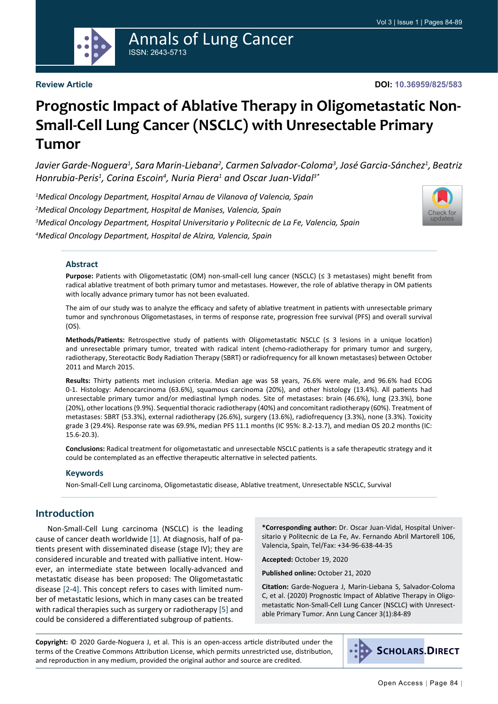

# Annals of Lung Cancer ISSN: 2643-5713

### **Review Article**

**DOI: 10.36959/825/583**

# **Prognostic Impact of Ablative Therapy in Oligometastatic Non-Small-Cell Lung Cancer (NSCLC) with Unresectable Primary Tumor**

Javier Garde-Noguera<sup>1</sup>, Sara Marin-Liebana<sup>2</sup>, Carmen Salvador-Coloma<sup>3</sup>, José Garcia-Sánchez<sup>1</sup>, Beatriz *Honrubia-Peris1 , Corina Escoin4 , Nuria Piera1 and Oscar Juan-Vidal3\**

 *Medical Oncology Department, Hospital Arnau de Vilanova of Valencia, Spain Medical Oncology Department, Hospital de Manises, Valencia, Spain Medical Oncology Department, Hospital Universitario y Politecnic de La Fe, Valencia, Spain Medical Oncology Department, Hospital de Alzira, Valencia, Spain*



### **Abstract**

**Purpose:** Patients with Oligometastatic (OM) non-small-cell lung cancer (NSCLC) (≤ 3 metastases) might benefit from radical ablative treatment of both primary tumor and metastases. However, the role of ablative therapy in OM patients with locally advance primary tumor has not been evaluated.

The aim of our study was to analyze the efficacy and safety of ablative treatment in patients with unresectable primary tumor and synchronous Oligometastases, in terms of response rate, progression free survival (PFS) and overall survival (OS).

**Methods/Patients:** Retrospective study of patients with Oligometastatic NSCLC (≤ 3 lesions in a unique location) and unresectable primary tumor, treated with radical intent (chemo-radiotherapy for primary tumor and surgery, radiotherapy, Stereotactic Body Radiation Therapy (SBRT) or radiofrequency for all known metastases) between October 2011 and March 2015.

**Results:** Thirty patients met inclusion criteria. Median age was 58 years, 76.6% were male, and 96.6% had ECOG 0-1. Histology: Adenocarcinoma (63.6%), squamous carcinoma (20%), and other histology (13.4%). All patients had unresectable primary tumor and/or mediastinal lymph nodes. Site of metastases: brain (46.6%), lung (23.3%), bone (20%), other locations (9.9%). Sequential thoracic radiotherapy (40%) and concomitant radiotherapy (60%). Treatment of metastases: SBRT (53.3%), external radiotherapy (26.6%), surgery (13.6%), radiofrequency (3.3%), none (3.3%). Toxicity grade 3 (29.4%). Response rate was 69.9%, median PFS 11.1 months (IC 95%: 8.2-13.7), and median OS 20.2 months (IC: 15.6-20.3).

**Conclusions:** Radical treatment for oligometastatic and unresectable NSCLC patients is a safe therapeutic strategy and it could be contemplated as an effective therapeutic alternative in selected patients.

#### **Keywords**

Non-Small-Cell Lung carcinoma, Oligometastatic disease, Ablative treatment, Unresectable NSCLC, Survival

# **Introduction**

Non-Small-Cell Lung carcinoma (NSCLC) is the leading cause of cancer death worldwide [\[1](#page-5-0)]. At diagnosis, half of patients present with disseminated disease (stage IV); they are considered incurable and treated with palliative intent. However, an intermediate state between locally-advanced and metastatic disease has been proposed: The Oligometastatic disease [\[2-](#page-5-1)[4\]](#page-5-2). This concept refers to cases with limited number of metastatic lesions, which in many cases can be treated with radical therapies such as surgery or radiotherapy [\[5](#page-5-3)] and could be considered a differentiated subgroup of patients.

**\*Corresponding author:** Dr. Oscar Juan-Vidal, Hospital Universitario y Politecnic de La Fe, Av. Fernando Abril Martorell 106, Valencia, Spain, Tel/Fax: +34-96-638-44-35

**Accepted:** October 19, 2020

**Published online:** October 21, 2020

**Citation:** Garde-Noguera J, Marin-Liebana S, Salvador-Coloma C, et al. (2020) Prognostic Impact of Ablative Therapy in Oligometastatic Non-Small-Cell Lung Cancer (NSCLC) with Unresectable Primary Tumor. Ann Lung Cancer 3(1):84-89

**Copyright:** © 2020 Garde-Noguera J, et al. This is an open-access article distributed under the terms of the Creative Commons Attribution License, which permits unrestricted use, distribution, and reproduction in any medium, provided the original author and source are credited.

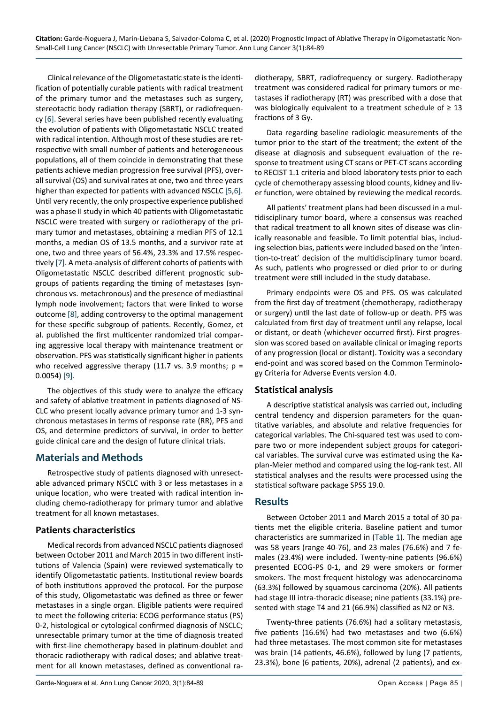Clinical relevance of the Oligometastatic state is the identification of potentially curable patients with radical treatment of the primary tumor and the metastases such as surgery, stereotactic body radiation therapy (SBRT), or radiofrequency [[6\]](#page-5-4). Several series have been published recently evaluating the evolution of patients with Oligometastatic NSCLC treated with radical intention. Although most of these studies are retrospective with small number of patients and heterogeneous populations, all of them coincide in demonstrating that these patients achieve median progression free survival (PFS), overall survival (OS) and survival rates at one, two and three years higher than expected for patients with advanced NSCLC [\[5](#page-5-3),[6\]](#page-5-4). Until very recently, the only prospective experience published was a phase II study in which 40 patients with Oligometastatic NSCLC were treated with surgery or radiotherapy of the primary tumor and metastases, obtaining a median PFS of 12.1 months, a median OS of 13.5 months, and a survivor rate at one, two and three years of 56.4%, 23.3% and 17.5% respectively [\[7](#page-5-5)]. A meta-analysis of different cohorts of patients with Oligometastatic NSCLC described different prognostic subgroups of patients regarding the timing of metastases (synchronous vs. metachronous) and the presence of mediastinal lymph node involvement; factors that were linked to worse outcome [\[8](#page-5-6)], adding controversy to the optimal management for these specific subgroup of patients. Recently, Gomez, et al. published the first multicenter randomized trial comparing aggressive local therapy with maintenance treatment or observation. PFS was statistically significant higher in patients who received aggressive therapy (11.7 vs. 3.9 months;  $p =$ 0.0054) [[9\]](#page-5-7).

The objectives of this study were to analyze the efficacy and safety of ablative treatment in patients diagnosed of NS-CLC who present locally advance primary tumor and 1-3 synchronous metastases in terms of response rate (RR), PFS and OS, and determine predictors of survival, in order to better guide clinical care and the design of future clinical trials.

# **Materials and Methods**

Retrospective study of patients diagnosed with unresectable advanced primary NSCLC with 3 or less metastases in a unique location, who were treated with radical intention including chemo-radiotherapy for primary tumor and ablative treatment for all known metastases.

# **Patients characteristics**

Medical records from advanced NSCLC patients diagnosed between October 2011 and March 2015 in two different institutions of Valencia (Spain) were reviewed systematically to identify Oligometastatic patients. Institutional review boards of both institutions approved the protocol. For the purpose of this study, Oligometastatic was defined as three or fewer metastases in a single organ. Eligible patients were required to meet the following criteria: ECOG performance status (PS) 0-2, histological or cytological confirmed diagnosis of NSCLC; unresectable primary tumor at the time of diagnosis treated with first-line chemotherapy based in platinum-doublet and thoracic radiotherapy with radical doses; and ablative treatment for all known metastases, defined as conventional ra-

diotherapy, SBRT, radiofrequency or surgery. Radiotherapy treatment was considered radical for primary tumors or metastases if radiotherapy (RT) was prescribed with a dose that was biologically equivalent to a treatment schedule of  $\geq 13$ fractions of 3 Gy.

Data regarding baseline radiologic measurements of the tumor prior to the start of the treatment; the extent of the disease at diagnosis and subsequent evaluation of the response to treatment using CT scans or PET-CT scans according to RECIST 1.1 criteria and blood laboratory tests prior to each cycle of chemotherapy assessing blood counts, kidney and liver function, were obtained by reviewing the medical records.

All patients' treatment plans had been discussed in a multidisciplinary tumor board, where a consensus was reached that radical treatment to all known sites of disease was clinically reasonable and feasible. To limit potential bias, including selection bias, patients were included based on the 'intention-to-treat' decision of the multidisciplinary tumor board. As such, patients who progressed or died prior to or during treatment were still included in the study database.

Primary endpoints were OS and PFS. OS was calculated from the first day of treatment (chemotherapy, radiotherapy or surgery) until the last date of follow-up or death. PFS was calculated from first day of treatment until any relapse, local or distant, or death (whichever occurred first). First progression was scored based on available clinical or imaging reports of any progression (local or distant). Toxicity was a secondary end-point and was scored based on the Common Terminology Criteria for Adverse Events version 4.0.

# **Statistical analysis**

A descriptive statistical analysis was carried out, including central tendency and dispersion parameters for the quantitative variables, and absolute and relative frequencies for categorical variables. The Chi-squared test was used to compare two or more independent subject groups for categorical variables. The survival curve was estimated using the Kaplan-Meier method and compared using the log-rank test. All statistical analyses and the results were processed using the statistical software package SPSS 19.0.

# **Results**

Between October 2011 and March 2015 a total of 30 patients met the eligible criteria. Baseline patient and tumor characteristics are summarized in [\(Table 1](#page-2-0)). The median age was 58 years (range 40-76), and 23 males (76.6%) and 7 females (23.4%) were included. Twenty-nine patients (96.6%) presented ECOG-PS 0-1, and 29 were smokers or former smokers. The most frequent histology was adenocarcinoma (63.3%) followed by squamous carcinoma (20%). All patients had stage III intra-thoracic disease; nine patients (33.1%) presented with stage T4 and 21 (66.9%) classified as N2 or N3.

Twenty-three patients (76.6%) had a solitary metastasis, five patients (16.6%) had two metastases and two (6.6%) had three metastases. The most common site for metastases was brain (14 patients, 46.6%), followed by lung (7 patients, 23.3%), bone (6 patients, 20%), adrenal (2 patients), and ex-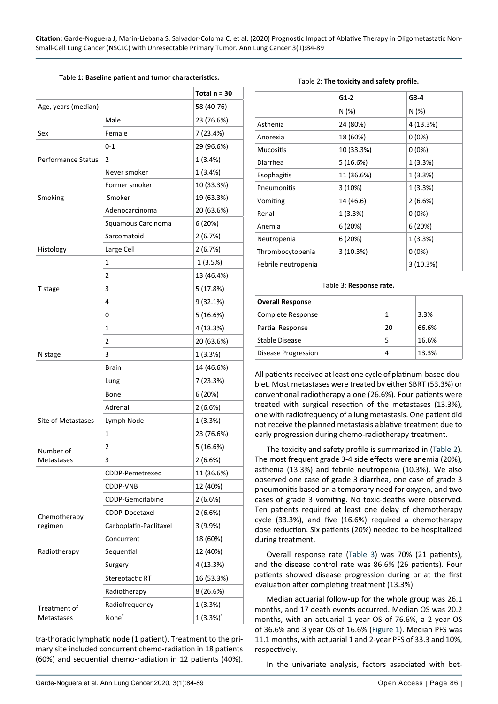<span id="page-2-0"></span>Table 1**: Baseline patient and tumor characteristics.**

|                           |                        | Total $n = 30$ |  |
|---------------------------|------------------------|----------------|--|
| Age, years (median)       |                        | 58 (40-76)     |  |
|                           | Male                   | 23 (76.6%)     |  |
| Sex                       | Female                 | 7 (23.4%)      |  |
|                           | $0 - 1$                | 29 (96.6%)     |  |
| <b>Performance Status</b> | $\overline{2}$         | 1(3.4%)        |  |
|                           | Never smoker           | 1(3.4%)        |  |
|                           | Former smoker          | 10 (33.3%)     |  |
| Smoking                   | Smoker                 | 19 (63.3%)     |  |
|                           | Adenocarcinoma         | 20 (63.6%)     |  |
|                           | Squamous Carcinoma     | 6 (20%)        |  |
|                           | Sarcomatoid            | 2(6.7%)        |  |
| Histology                 | Large Cell             | 2(6.7%)        |  |
|                           | 1                      | 1 (3.5%)       |  |
|                           | 2                      | 13 (46.4%)     |  |
| T stage                   | 3                      | 5 (17.8%)      |  |
|                           | 4                      | 9 (32.1%)      |  |
|                           | 0                      | 5 (16.6%)      |  |
|                           | 1                      | 4 (13.3%)      |  |
|                           | 2                      | 20 (63.6%)     |  |
| N stage                   | 3                      | 1(3.3%)        |  |
|                           | <b>Brain</b>           | 14 (46.6%)     |  |
|                           | Lung                   | 7 (23.3%)      |  |
|                           | Bone                   | 6 (20%)        |  |
|                           | Adrenal                | 2(6.6%)        |  |
| Site of Metastases        | Lymph Node             | 1(3.3%)        |  |
|                           | 1                      | 23 (76.6%)     |  |
| Number of                 | $\overline{2}$         | 5 (16.6%)      |  |
| Metastases                | 3                      | 2(6.6%)        |  |
|                           | CDDP-Pemetrexed        | 11 (36.6%)     |  |
|                           | CDDP-VNB               | 12 (40%)       |  |
|                           | CDDP-Gemcitabine       | 2(6.6%)        |  |
| Chemotherapy              | CDDP-Docetaxel         | 2(6.6%)        |  |
| regimen                   | Carboplatin-Paclitaxel | 3 (9.9%)       |  |
|                           | Concurrent             | 18 (60%)       |  |
| Radiotherapy              | Sequential             | 12 (40%)       |  |
|                           | Surgery                | 4 (13.3%)      |  |
|                           | Stereotactic RT        | 16 (53.3%)     |  |
|                           | Radiotherapy           | 8 (26.6%)      |  |
| Treatment of              | Radiofrequency         | 1(3.3%)        |  |
| Metastases                | None <sup>*</sup>      | $1(3.3\%)^*$   |  |

tra-thoracic lymphatic node (1 patient). Treatment to the primary site included concurrent chemo-radiation in 18 patients (60%) and sequential chemo-radiation in 12 patients (40%).

#### <span id="page-2-1"></span>Table 2: **The toxicity and safety profile.**

|                     | $G1-2$     | $G3-4$    |
|---------------------|------------|-----------|
|                     | N(%)       | N(%)      |
| Asthenia            | 24 (80%)   | 4 (13.3%) |
| Anorexia            | 18 (60%)   | $0(0\%)$  |
| <b>Mucositis</b>    | 10 (33.3%) | $0(0\%)$  |
| Diarrhea            | 5(16.6%)   | 1(3.3%)   |
| Esophagitis         | 11 (36.6%) | 1(3.3%)   |
| Pneumonitis         | 3(10%)     | 1(3.3%)   |
| Vomiting            | 14 (46.6)  | 2(6.6%)   |
| Renal               | 1(3.3%)    | $0(0\%)$  |
| Anemia              | 6(20%)     | 6 (20%)   |
| Neutropenia         | 6(20%)     | 1(3.3%)   |
| Thrombocytopenia    | 3(10.3%)   | $0(0\%)$  |
| Febrile neutropenia |            | 3(10.3%)  |

#### <span id="page-2-2"></span>Table 3: **Response rate.**

| <b>Overall Response</b>    |    |       |
|----------------------------|----|-------|
| Complete Response          |    | 3.3%  |
| Partial Response           | 20 | 66.6% |
| Stable Disease             |    | 16.6% |
| <b>Disease Progression</b> |    | 13.3% |

All patients received at least one cycle of platinum-based doublet. Most metastases were treated by either SBRT (53.3%) or conventional radiotherapy alone (26.6%). Four patients were treated with surgical resection of the metastases (13.3%), one with radiofrequency of a lung metastasis. One patient did not receive the planned metastasis ablative treatment due to early progression during chemo-radiotherapy treatment.

The toxicity and safety profile is summarized in [\(Table 2](#page-2-1)). The most frequent grade 3-4 side effects were anemia (20%), asthenia (13.3%) and febrile neutropenia (10.3%). We also observed one case of grade 3 diarrhea, one case of grade 3 pneumonitis based on a temporary need for oxygen, and two cases of grade 3 vomiting. No toxic-deaths were observed. Ten patients required at least one delay of chemotherapy cycle (33.3%), and five (16.6%) required a chemotherapy dose reduction. Six patients (20%) needed to be hospitalized during treatment.

Overall response rate ([Table 3](#page-2-2)) was 70% (21 patients), and the disease control rate was 86.6% (26 patients). Four patients showed disease progression during or at the first evaluation after completing treatment (13.3%).

Median actuarial follow-up for the whole group was 26.1 months, and 17 death events occurred. Median OS was 20.2 months, with an actuarial 1 year OS of 76.6%, a 2 year OS of 36.6% and 3 year OS of 16.6% ([Figure 1\)](#page-3-0). Median PFS was 11.1 months, with actuarial 1 and 2-year PFS of 33.3 and 10%, respectively.

In the univariate analysis, factors associated with bet-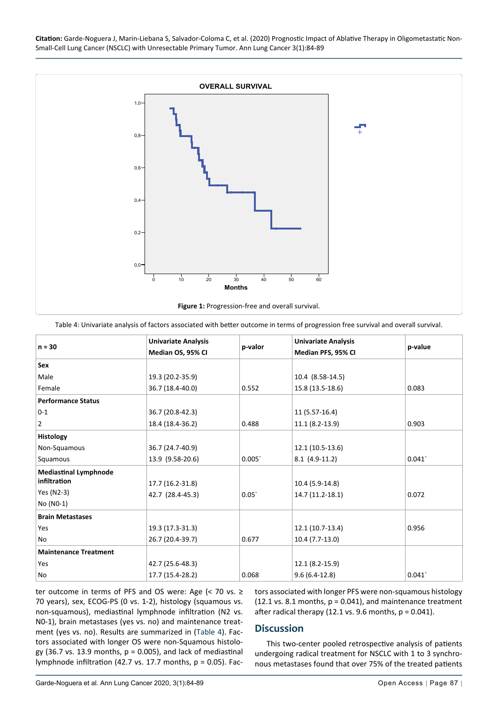**Citation:** Garde-Noguera J, Marin-Liebana S, Salvador-Coloma C, et al. (2020) Prognostic Impact of Ablative Therapy in Oligometastatic Non-Small-Cell Lung Cancer (NSCLC) with Unresectable Primary Tumor. Ann Lung Cancer 3(1):84-89

<span id="page-3-0"></span>

<span id="page-3-1"></span>Table 4: Univariate analysis of factors associated with better outcome in terms of progression free survival and overall survival.

| $n = 30$                     | <b>Univariate Analysis</b> | p-valor  | <b>Univariate Analysis</b> | p-value              |
|------------------------------|----------------------------|----------|----------------------------|----------------------|
|                              | Median OS, 95% CI          |          | Median PFS, 95% CI         |                      |
| <b>Sex</b>                   |                            |          |                            |                      |
| Male                         | 19.3 (20.2-35.9)           |          | 10.4 (8.58-14.5)           |                      |
| Female                       | 36.7 (18.4-40.0)           | 0.552    | 15.8 (13.5-18.6)           | 0.083                |
| <b>Performance Status</b>    |                            |          |                            |                      |
| $0 - 1$                      | 36.7 (20.8-42.3)           |          | 11 (5.57-16.4)             |                      |
| $\overline{2}$               | 18.4 (18.4-36.2)           | 0.488    | $11.1 (8.2 - 13.9)$        | 0.903                |
| <b>Histology</b>             |                            |          |                            |                      |
| Non-Squamous                 | 36.7 (24.7-40.9)           |          | 12.1 (10.5-13.6)           |                      |
| Squamous                     | 13.9 (9.58-20.6)           | $0.005*$ | $8.1$ (4.9-11.2)           | $0.041$ <sup>*</sup> |
| <b>Mediastinal Lymphnode</b> |                            |          |                            |                      |
| infiltration                 | 17.7 (16.2-31.8)           |          | 10.4 (5.9-14.8)            |                      |
| Yes (N2-3)                   | 42.7 (28.4-45.3)           | $0.05*$  | 14.7 (11.2-18.1)           | 0.072                |
| No (NO-1)                    |                            |          |                            |                      |
| <b>Brain Metastases</b>      |                            |          |                            |                      |
| Yes                          | 19.3 (17.3-31.3)           |          | $12.1(10.7-13.4)$          | 0.956                |
| No                           | 26.7 (20.4-39.7)           | 0.677    | 10.4 (7.7-13.0)            |                      |
| <b>Maintenance Treatment</b> |                            |          |                            |                      |
| Yes                          | 42.7 (25.6-48.3)           |          | 12.1 (8.2-15.9)            |                      |
| No                           | 17.7 (15.4-28.2)           | 0.068    | $9.6(6.4-12.8)$            | $0.041*$             |

ter outcome in terms of PFS and OS were: Age (< 70 vs. ≥ 70 years), sex, ECOG-PS (0 vs. 1-2), histology (squamous vs. non-squamous), mediastinal lymphnode infiltration (N2 vs. N0-1), brain metastases (yes vs. no) and maintenance treatment (yes vs. no). Results are summarized in ([Table 4](#page-3-1)). Factors associated with longer OS were non-Squamous histology (36.7 vs. 13.9 months,  $p = 0.005$ ), and lack of mediastinal lymphnode infiltration (42.7 vs. 17.7 months, p = 0.05). Factors associated with longer PFS were non-squamous histology  $(12.1 \text{ vs. } 8.1 \text{ months}, p = 0.041)$ , and maintenance treatment after radical therapy (12.1 vs. 9.6 months,  $p = 0.041$ ).

### **Discussion**

This two-center pooled retrospective analysis of patients undergoing radical treatment for NSCLC with 1 to 3 synchronous metastases found that over 75% of the treated patients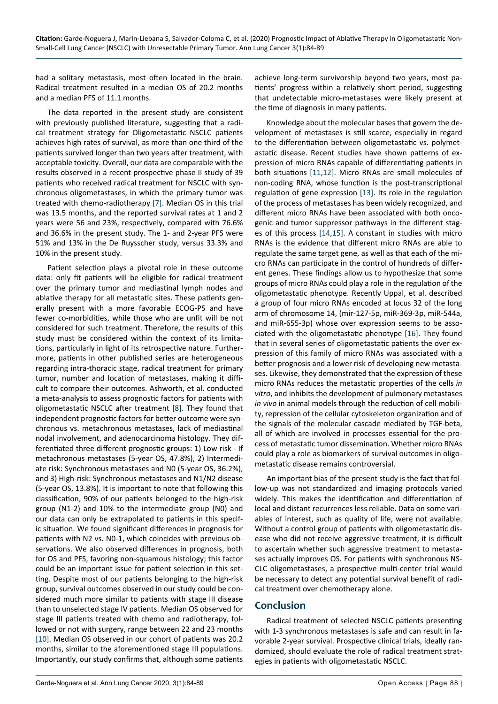had a solitary metastasis, most often located in the brain. Radical treatment resulted in a median OS of 20.2 months and a median PFS of 11.1 months.

The data reported in the present study are consistent with previously published literature, suggesting that a radical treatment strategy for Oligometastatic NSCLC patients achieves high rates of survival, as more than one third of the patients survived longer than two years after treatment, with acceptable toxicity. Overall, our data are comparable with the results observed in a recent prospective phase II study of 39 patients who received radical treatment for NSCLC with synchronous oligometastases, in which the primary tumor was treated with chemo-radiotherapy [\[7\]](#page-5-5). Median OS in this trial was 13.5 months, and the reported survival rates at 1 and 2 years were 56 and 23%, respectively, compared with 76.6% and 36.6% in the present study. The 1- and 2-year PFS were 51% and 13% in the De Ruysscher study, versus 33.3% and 10% in the present study.

Patient selection plays a pivotal role in these outcome data: only fit patients will be eligible for radical treatment over the primary tumor and mediastinal lymph nodes and ablative therapy for all metastatic sites. These patients generally present with a more favorable ECOG-PS and have fewer co-morbidities, while those who are unfit will be not considered for such treatment. Therefore, the results of this study must be considered within the context of its limitations, particularly in light of its retrospective nature. Furthermore, patients in other published series are heterogeneous regarding intra-thoracic stage, radical treatment for primary tumor, number and location of metastases, making it difficult to compare their outcomes. Ashworth, et al. conducted a meta-analysis to assess prognostic factors for patients with oligometastatic NSCLC after treatment [\[8](#page-5-6)]. They found that independent prognostic factors for better outcome were synchronous vs. metachronous metastases, lack of mediastinal nodal involvement, and adenocarcinoma histology. They differentiated three different prognostic groups: 1) Low risk - If metachronous metastases (5-year OS, 47.8%), 2) Intermediate risk: Synchronous metastases and N0 (5-year OS, 36.2%), and 3) High-risk: Synchronous metastases and N1/N2 disease (5-year OS, 13.8%). It is important to note that following this classification, 90% of our patients belonged to the high-risk group (N1-2) and 10% to the intermediate group (N0) and our data can only be extrapolated to patients in this specific situation. We found significant differences in prognosis for patients with N2 vs. N0-1, which coincides with previous observations. We also observed differences in prognosis, both for OS and PFS, favoring non-squamous histology; this factor could be an important issue for patient selection in this setting. Despite most of our patients belonging to the high-risk group, survival outcomes observed in our study could be considered much more similar to patients with stage III disease than to unselected stage IV patients. Median OS observed for stage III patients treated with chemo and radiotherapy, followed or not with surgery, range between 22 and 23 months [[10\]](#page-5-14). Median OS observed in our cohort of patients was 20.2 months, similar to the aforementioned stage III populations. Importantly, our study confirms that, although some patients

achieve long-term survivorship beyond two years, most patients' progress within a relatively short period, suggesting that undetectable micro-metastases were likely present at the time of diagnosis in many patients.

Knowledge about the molecular bases that govern the development of metastases is still scarce, especially in regard to the differentiation between oligometastatic vs. polymetastatic disease. Recent studies have shown patterns of expression of micro RNAs capable of differentiating patients in both situations [[11](#page-5-8)[,12](#page-5-9)]. Micro RNAs are small molecules of non-coding RNA, whose function is the post-transcriptional regulation of gene expression [\[13\]](#page-5-10). Its role in the regulation of the process of metastases has been widely recognized, and different micro RNAs have been associated with both oncogenic and tumor suppressor pathways in the different stages of this process [[14](#page-5-11)[,15](#page-5-12)]. A constant in studies with micro RNAs is the evidence that different micro RNAs are able to regulate the same target gene, as well as that each of the micro RNAs can participate in the control of hundreds of different genes. These findings allow us to hypothesize that some groups of micro RNAs could play a role in the regulation of the oligometastatic phenotype. Recently Uppal, et al. described a group of four micro RNAs encoded at locus 32 of the long arm of chromosome 14, (mir-127-5p, miR-369-3p, miR-544a, and miR-655-3p) whose over expression seems to be associated with the oligometastatic phenotype [[16](#page-5-13)]. They found that in several series of oligometastatic patients the over expression of this family of micro RNAs was associated with a better prognosis and a lower risk of developing new metastases. Likewise, they demonstrated that the expression of these micro RNAs reduces the metastatic properties of the cells *in vitro*, and inhibits the development of pulmonary metastases *in vivo* in animal models through the reduction of cell mobility, repression of the cellular cytoskeleton organization and of the signals of the molecular cascade mediated by TGF-beta, all of which are involved in processes essential for the process of metastatic tumor dissemination. Whether micro RNAs could play a role as biomarkers of survival outcomes in oligometastatic disease remains controversial.

An important bias of the present study is the fact that follow-up was not standardized and imaging protocols varied widely. This makes the identification and differentiation of local and distant recurrences less reliable. Data on some variables of interest, such as quality of life, were not available. Without a control group of patients with oligometastatic disease who did not receive aggressive treatment, it is difficult to ascertain whether such aggressive treatment to metastases actually improves OS. For patients with synchronous NS-CLC oligometastases, a prospective multi-center trial would be necessary to detect any potential survival benefit of radical treatment over chemotherapy alone.

# **Conclusion**

Radical treatment of selected NSCLC patients presenting with 1-3 synchronous metastases is safe and can result in favorable 2-year survival. Prospective clinical trials, ideally randomized, should evaluate the role of radical treatment strategies in patients with oligometastatic NSCLC.